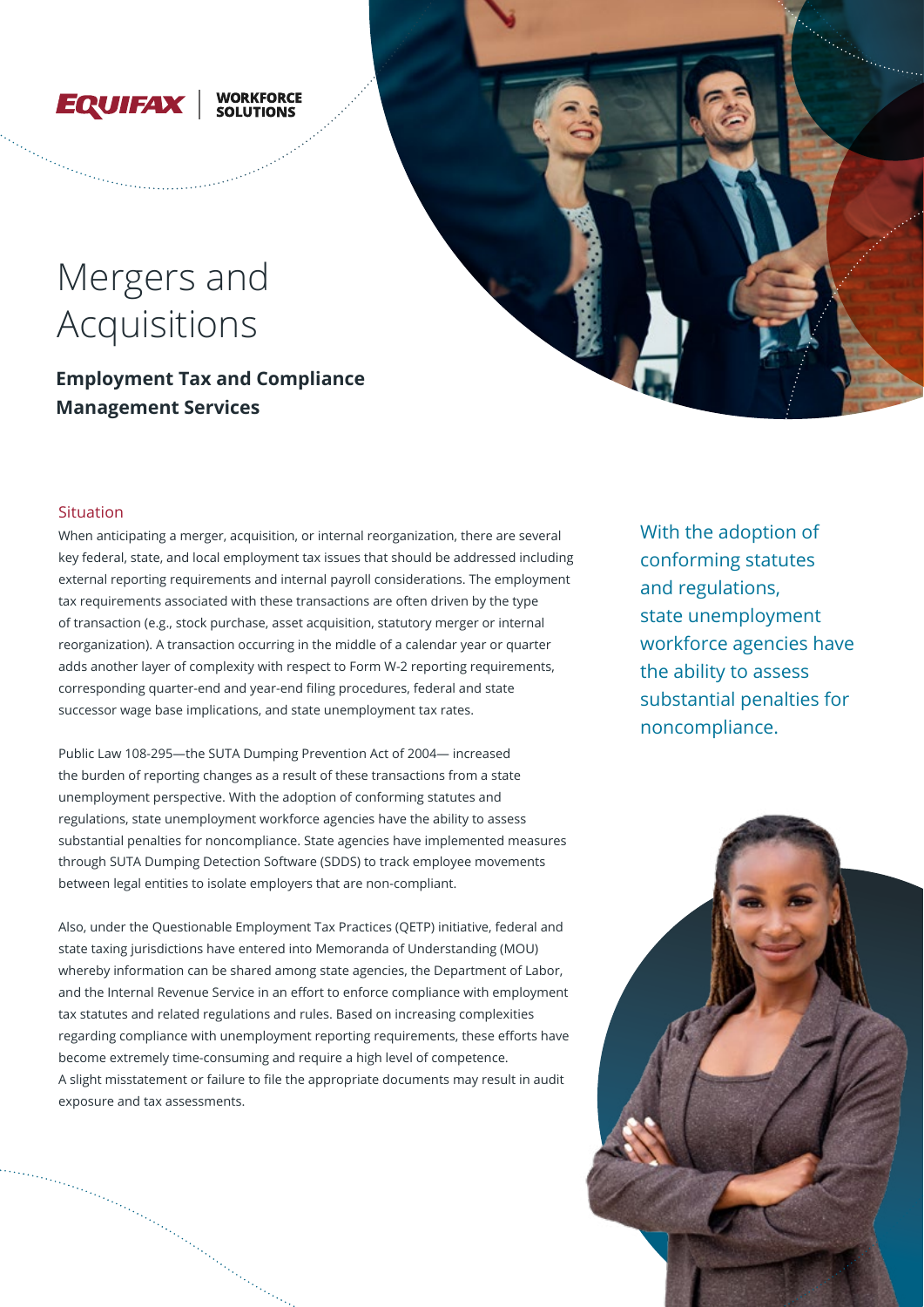

# **WORKFORCE**

# Mergers and Acquisitions

**Employment Tax and Compliance Management Services**



When anticipating a merger, acquisition, or internal reorganization, there are several key federal, state, and local employment tax issues that should be addressed including external reporting requirements and internal payroll considerations. The employment tax requirements associated with these transactions are often driven by the type of transaction (e.g., stock purchase, asset acquisition, statutory merger or internal reorganization). A transaction occurring in the middle of a calendar year or quarter adds another layer of complexity with respect to Form W-2 reporting requirements, corresponding quarter-end and year-end filing procedures, federal and state successor wage base implications, and state unemployment tax rates.

Public Law 108-295—the SUTA Dumping Prevention Act of 2004— increased the burden of reporting changes as a result of these transactions from a state unemployment perspective. With the adoption of conforming statutes and regulations, state unemployment workforce agencies have the ability to assess substantial penalties for noncompliance. State agencies have implemented measures through SUTA Dumping Detection Software (SDDS) to track employee movements between legal entities to isolate employers that are non-compliant.

Also, under the Questionable Employment Tax Practices (QETP) initiative, federal and state taxing jurisdictions have entered into Memoranda of Understanding (MOU) whereby information can be shared among state agencies, the Department of Labor, and the Internal Revenue Service in an effort to enforce compliance with employment tax statutes and related regulations and rules. Based on increasing complexities regarding compliance with unemployment reporting requirements, these efforts have become extremely time-consuming and require a high level of competence. A slight misstatement or failure to file the appropriate documents may result in audit exposure and tax assessments.

With the adoption of conforming statutes and regulations, state unemployment workforce agencies have the ability to assess substantial penalties for noncompliance.

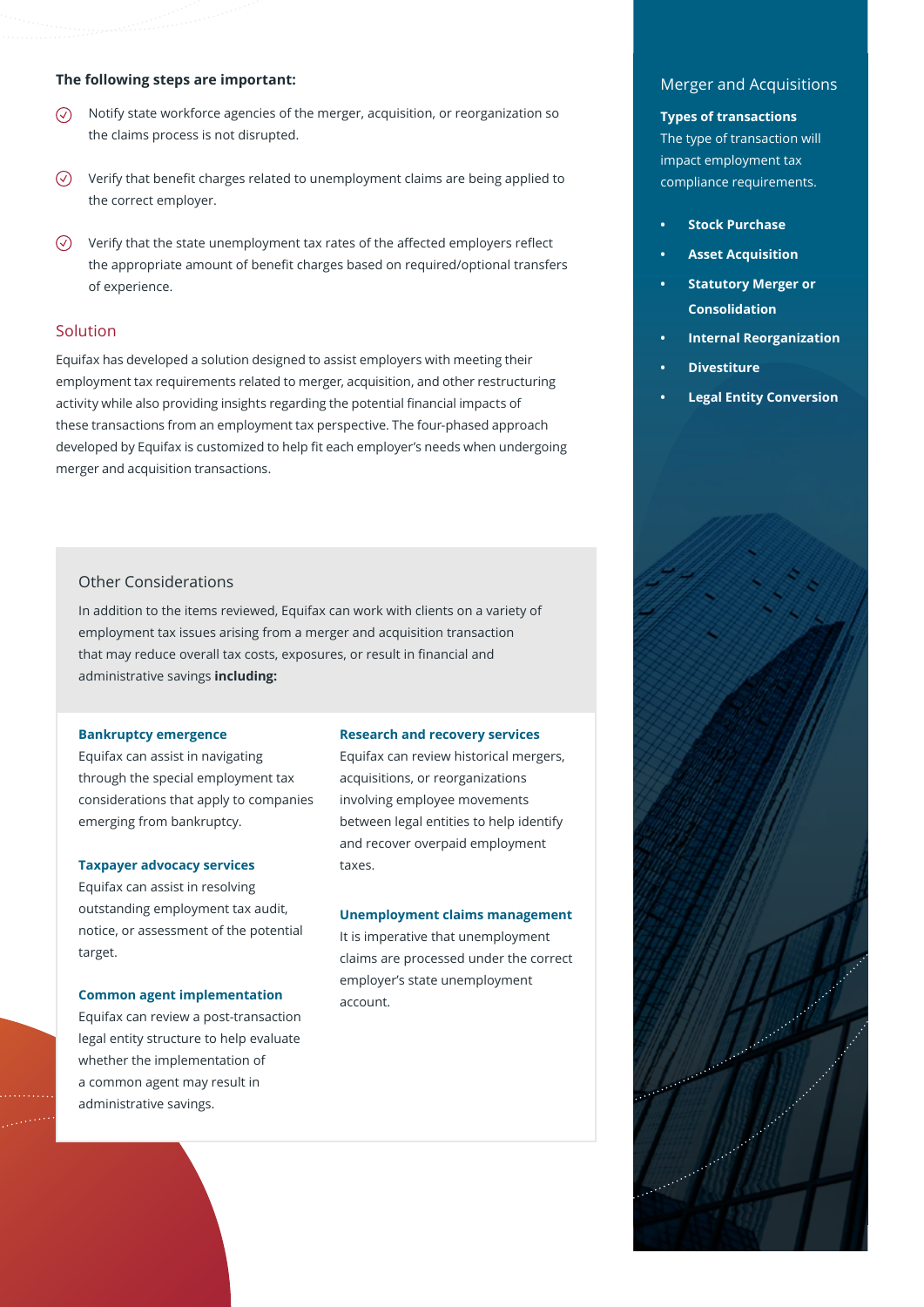## **The following steps are important:**

- Notify state workforce agencies of the merger, acquisition, or reorganization so  $\odot$ the claims process is not disrupted.
- $\circledcirc$  Verify that benefit charges related to unemployment claims are being applied to the correct employer.
- $\heartsuit$  Verify that the state unemployment tax rates of the affected employers reflect the appropriate amount of benefit charges based on required/optional transfers of experience.

## Solution

Equifax has developed a solution designed to assist employers with meeting their employment tax requirements related to merger, acquisition, and other restructuring activity while also providing insights regarding the potential financial impacts of these transactions from an employment tax perspective. The four-phased approach developed by Equifax is customized to help fit each employer's needs when undergoing merger and acquisition transactions.

## Other Considerations

In addition to the items reviewed, Equifax can work with clients on a variety of employment tax issues arising from a merger and acquisition transaction that may reduce overall tax costs, exposures, or result in financial and administrative savings **including:**

#### **Bankruptcy emergence**

Equifax can assist in navigating through the special employment tax considerations that apply to companies emerging from bankruptcy.

#### **Taxpayer advocacy services**

Equifax can assist in resolving outstanding employment tax audit, notice, or assessment of the potential target.

#### **Common agent implementation**

Equifax can review a post-transaction legal entity structure to help evaluate whether the implementation of a common agent may result in administrative savings.

#### **Research and recovery services**

Equifax can review historical mergers, acquisitions, or reorganizations involving employee movements between legal entities to help identify and recover overpaid employment taxes.

#### **Unemployment claims management**

It is imperative that unemployment claims are processed under the correct employer's state unemployment account.

## Merger and Acquisitions

#### **Types of transactions**

The type of transaction will impact employment tax compliance requirements.

- **• Stock Purchase**
- **• Asset Acquisition**
- **• Statutory Merger or Consolidation**
- **• Internal Reorganization**
- **• Divestiture**
- **• Legal Entity Conversion**

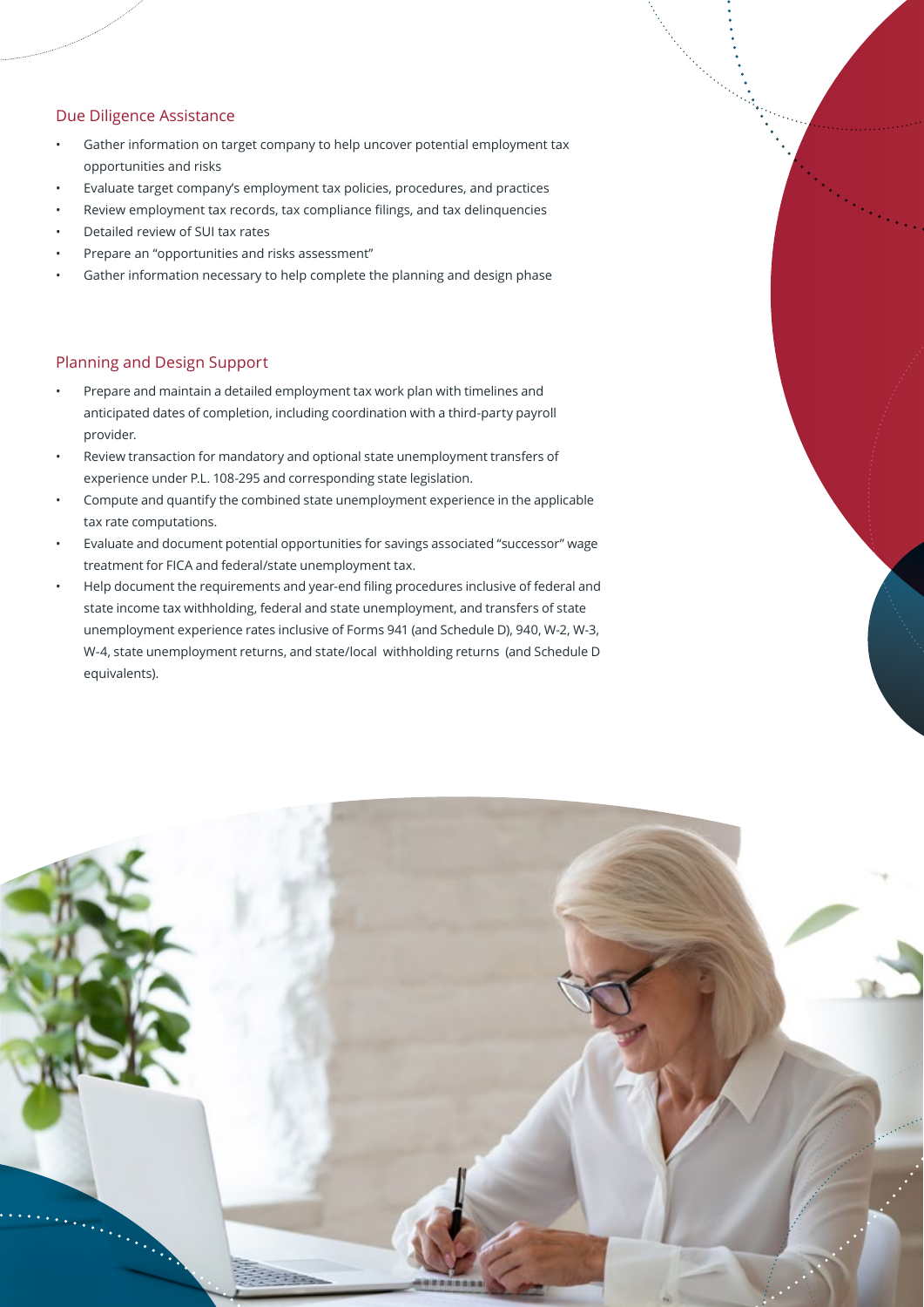## Due Diligence Assistance

- Gather information on target company to help uncover potential employment tax opportunities and risks
- Evaluate target company's employment tax policies, procedures, and practices
- Review employment tax records, tax compliance filings, and tax delinquencies
- Detailed review of SUI tax rates
- Prepare an "opportunities and risks assessment"
- Gather information necessary to help complete the planning and design phase

## Planning and Design Support

- Prepare and maintain a detailed employment tax work plan with timelines and anticipated dates of completion, including coordination with a third-party payroll provider.
- Review transaction for mandatory and optional state unemployment transfers of experience under P.L. 108-295 and corresponding state legislation.
- Compute and quantify the combined state unemployment experience in the applicable tax rate computations.
- Evaluate and document potential opportunities for savings associated "successor" wage treatment for FICA and federal/state unemployment tax.
- Help document the requirements and year-end filing procedures inclusive of federal and state income tax withholding, federal and state unemployment, and transfers of state unemployment experience rates inclusive of Forms 941 (and Schedule D), 940, W-2, W-3, W-4, state unemployment returns, and state/local withholding returns (and Schedule D equivalents).